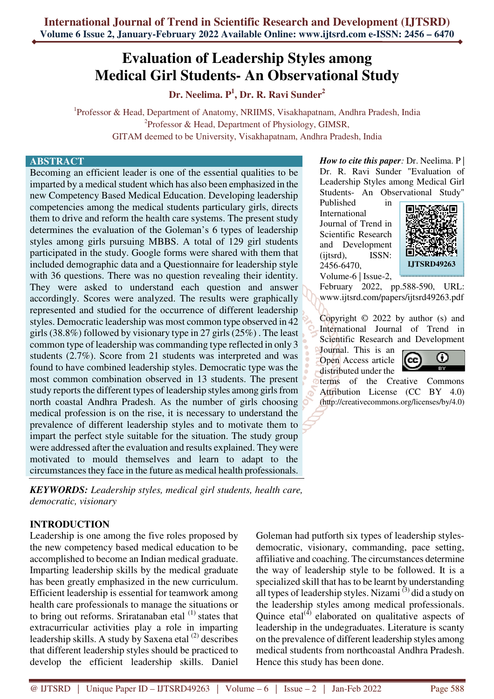# **Evaluation of Leadership Styles among Medical Girl Students- An Observational Study**

**Dr. Neelima. P<sup>1</sup> , Dr. R. Ravi Sunder<sup>2</sup>**

<sup>1</sup>Professor & Head, Department of Anatomy, NRIIMS, Visakhapatnam, Andhra Pradesh, India <sup>2</sup>Professor & Head, Department of Physiology, GIMSR, GITAM deemed to be University, Visakhapatnam, Andhra Pradesh, India

#### **ABSTRACT**

Becoming an efficient leader is one of the essential qualities to be imparted by a medical student which has also been emphasized in the new Competency Based Medical Education. Developing leadership competencies among the medical students particulary girls, directs them to drive and reform the health care systems. The present study determines the evaluation of the Goleman's 6 types of leadership styles among girls pursuing MBBS. A total of 129 girl students participated in the study. Google forms were shared with them that included demographic data and a Questionnaire for leadership style with 36 questions. There was no question revealing their identity. They were asked to understand each question and answer accordingly. Scores were analyzed. The results were graphically represented and studied for the occurrence of different leadership styles. Democratic leadership was most common type observed in 42 girls (38.8%) followed by visionary type in 27 girls (25%) . The least common type of leadership was commanding type reflected in only 3 students (2.7%). Score from 21 students was interpreted and was found to have combined leadership styles. Democratic type was the most common combination observed in 13 students. The present study reports the different types of leadership styles among girls from north coastal Andhra Pradesh. As the number of girls choosing medical profession is on the rise, it is necessary to understand the prevalence of different leadership styles and to motivate them to impart the perfect style suitable for the situation. The study group were addressed after the evaluation and results explained. They were motivated to mould themselves and learn to adapt to the circumstances they face in the future as medical health professionals.

*KEYWORDS: Leadership styles, medical girl students, health care, democratic, visionary* 

## **INTRODUCTION**

Leadership is one among the five roles proposed by the new competency based medical education to be accomplished to become an Indian medical graduate. Imparting leadership skills by the medical graduate has been greatly emphasized in the new curriculum. Efficient leadership is essential for teamwork among health care professionals to manage the situations or to bring out reforms. Sriratanaban etal  $<sup>(1)</sup>$  states that</sup> extracurricular activities play a role in imparting leadership skills. A study by Saxena etal (2) describes that different leadership styles should be practiced to develop the efficient leadership skills. Daniel

*How to cite this paper*: Dr. Neelima. P Dr. R. Ravi Sunder "Evaluation of Leadership Styles among Medical Girl Students- An Observational Study"

Published in International Journal of Trend in Scientific Research and Development (ijtsrd), ISSN: 2456-6470, Volume-6 | Issue-2,



February 2022, pp.588-590, URL: www.ijtsrd.com/papers/ijtsrd49263.pdf

Copyright © 2022 by author (s) and International Journal of Trend in Scientific Research and Development

Journal. This is an Open Access article distributed under the



terms of the Creative Commons Attribution License (CC BY 4.0) (http://creativecommons.org/licenses/by/4.0)

Goleman had putforth six types of leadership stylesdemocratic, visionary, commanding, pace setting, affiliative and coaching. The circumstances determine the way of leadership style to be followed. It is a specialized skill that has to be learnt by understanding all types of leadership styles. Nizami $^{(3)}$  did a study on the leadership styles among medical professionals. Quince etal $^{(4)}$  elaborated on qualitative aspects of leadership in the undegraduates. Literature is scanty on the prevalence of different leadership styles among medical students from northcoastal Andhra Pradesh. Hence this study has been done.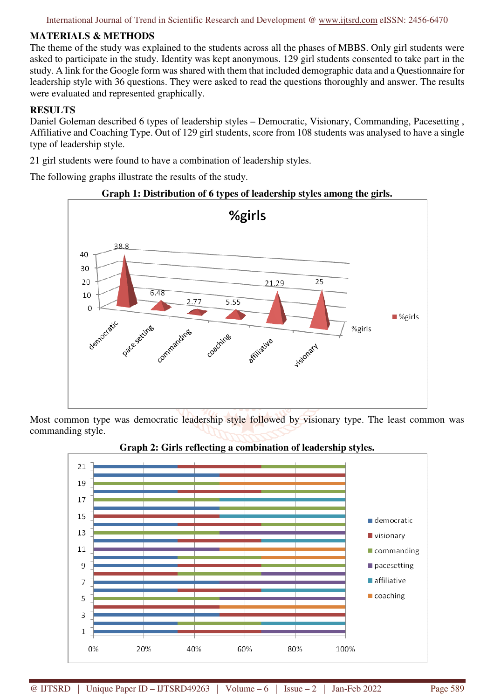International Journal of Trend in Scientific Research and Development @ www.ijtsrd.com eISSN: 2456-6470

## **MATERIALS & METHODS**

The theme of the study was explained to the students across all the phases of MBBS. Only girl students were asked to participate in the study. Identity was kept anonymous. 129 girl students consented to take part in the study. A link for the Google form was shared with them that included demographic data and a Questionnaire for leadership style with 36 questions. They were asked to read the questions thoroughly and answer. The results were evaluated and represented graphically.

## **RESULTS**

Daniel Goleman described 6 types of leadership styles – Democratic, Visionary, Commanding, Pacesetting , Affiliative and Coaching Type. Out of 129 girl students, score from 108 students was analysed to have a single type of leadership style.

21 girl students were found to have a combination of leadership styles.

The following graphs illustrate the results of the study.

## **Graph 1: Distribution of 6 types of leadership styles among the girls.**



Most common type was democratic leadership style followed by visionary type. The least common was commanding style.



## **Graph 2: Girls reflecting a combination of leadership styles.**